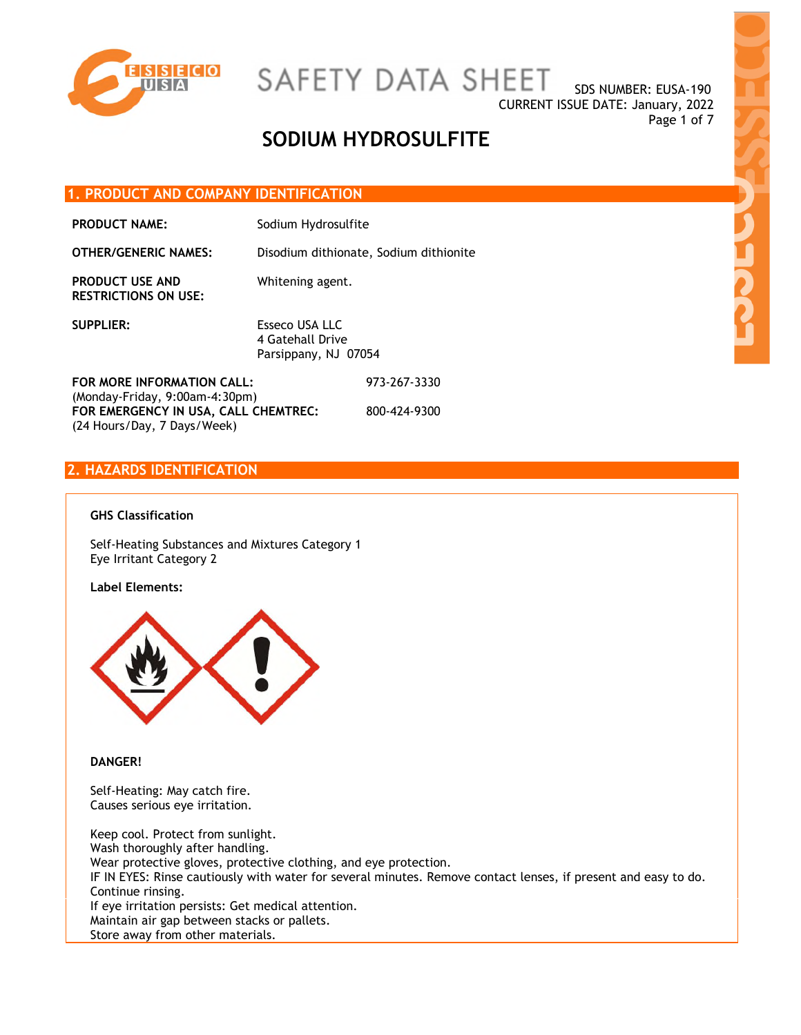

SDS NUMBER: EUSA-190 CURRENT ISSUE DATE: January, 2022 Page 1 of 7

## **SODIUM HYDROSULFITE**

#### **1. PRODUCT AND COMPANY IDENTIFICATION**

| <b>PRODUCT NAME:</b> | Sodium Hydrosulfite |  |
|----------------------|---------------------|--|
|----------------------|---------------------|--|

**OTHER/GENERIC NAMES:** Disodium dithionate, Sodium dithionite

**PRODUCT USE AND RESTRICTIONS ON USE:**  Whitening agent.

**SUPPLIER:** Esseco USA LLC 4 Gatehall Drive Parsippany, NJ 07054

**FOR MORE INFORMATION CALL:** (Monday-Friday, 9:00am-4:30pm) 973-267-3330 **FOR EMERGENCY IN USA, CALL CHEMTREC:** (24 Hours/Day, 7 Days/Week) 800-424-9300

### **2. HAZARDS IDENTIFICATION**

#### **GHS Classification**

Self-Heating Substances and Mixtures Category 1 Eye Irritant Category 2

#### **Label Elements:**



#### **DANGER!**

Self-Heating: May catch fire. Causes serious eye irritation.

Keep cool. Protect from sunlight. Wash thoroughly after handling. Wear protective gloves, protective clothing, and eye protection. IF IN EYES: Rinse cautiously with water for several minutes. Remove contact lenses, if present and easy to do. Continue rinsing. If eye irritation persists: Get medical attention. Maintain air gap between stacks or pallets. Store away from other materials.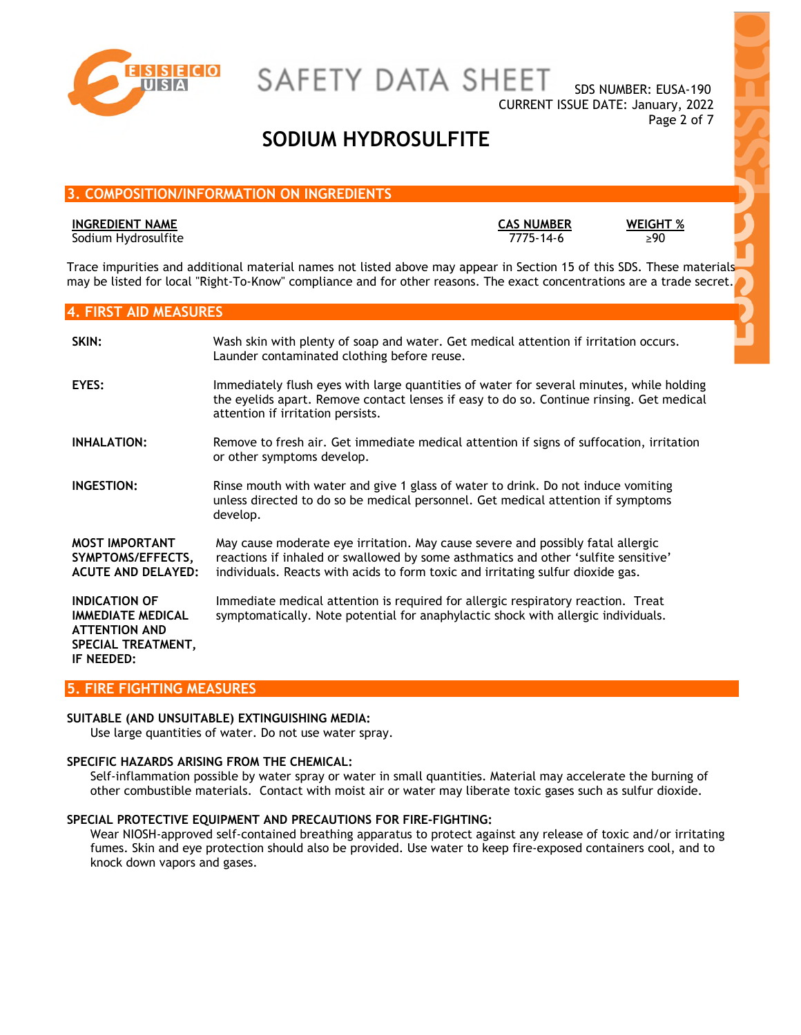

SAFETY DATA SHEET

SDS NUMBER: EUSA-190 CURRENT ISSUE DATE: January, 2022 Page 2 of 7

## **SODIUM HYDROSULFITE**

### **3. COMPOSITION/INFORMATION ON INGREDIENTS**

#### **INGREDIENT NAME CAS NUMBER WEIGHT %**

Sodium Hydrosulfite 7775-14-6 ≥90

Trace impurities and additional material names not listed above may appear in Section 15 of this SDS. These materials may be listed for local "Right-To-Know" compliance and for other reasons. The exact concentrations are a trade secret.

#### **4. FIRST AID MEASURES**

| SKIN:                                                                                                        | Wash skin with plenty of soap and water. Get medical attention if irritation occurs.<br>Launder contaminated clothing before reuse.                                                                                                                      |
|--------------------------------------------------------------------------------------------------------------|----------------------------------------------------------------------------------------------------------------------------------------------------------------------------------------------------------------------------------------------------------|
| EYES:                                                                                                        | Immediately flush eyes with large quantities of water for several minutes, while holding<br>the eyelids apart. Remove contact lenses if easy to do so. Continue rinsing. Get medical<br>attention if irritation persists.                                |
| <b>INHALATION:</b>                                                                                           | Remove to fresh air. Get immediate medical attention if signs of suffocation, irritation<br>or other symptoms develop.                                                                                                                                   |
| INGESTION:                                                                                                   | Rinse mouth with water and give 1 glass of water to drink. Do not induce vomiting<br>unless directed to do so be medical personnel. Get medical attention if symptoms<br>develop.                                                                        |
| <b>MOST IMPORTANT</b><br>SYMPTOMS/EFFECTS,<br><b>ACUTE AND DELAYED:</b>                                      | May cause moderate eye irritation. May cause severe and possibly fatal allergic<br>reactions if inhaled or swallowed by some asthmatics and other 'sulfite sensitive'<br>individuals. Reacts with acids to form toxic and irritating sulfur dioxide gas. |
| <b>INDICATION OF</b><br><b>IMMEDIATE MEDICAL</b><br><b>ATTENTION AND</b><br>SPECIAL TREATMENT,<br>IF NEEDED: | Immediate medical attention is required for allergic respiratory reaction. Treat<br>symptomatically. Note potential for anaphylactic shock with allergic individuals.                                                                                    |

#### **5. FIRE FIGHTING MEASURES**

#### **SUITABLE (AND UNSUITABLE) EXTINGUISHING MEDIA:**

Use large quantities of water. Do not use water spray.

#### **SPECIFIC HAZARDS ARISING FROM THE CHEMICAL:**

Self-inflammation possible by water spray or water in small quantities. Material may accelerate the burning of other combustible materials. Contact with moist air or water may liberate toxic gases such as sulfur dioxide.

#### **SPECIAL PROTECTIVE EQUIPMENT AND PRECAUTIONS FOR FIRE-FIGHTING:**

Wear NIOSH-approved self-contained breathing apparatus to protect against any release of toxic and/or irritating fumes. Skin and eye protection should also be provided. Use water to keep fire-exposed containers cool, and to knock down vapors and gases.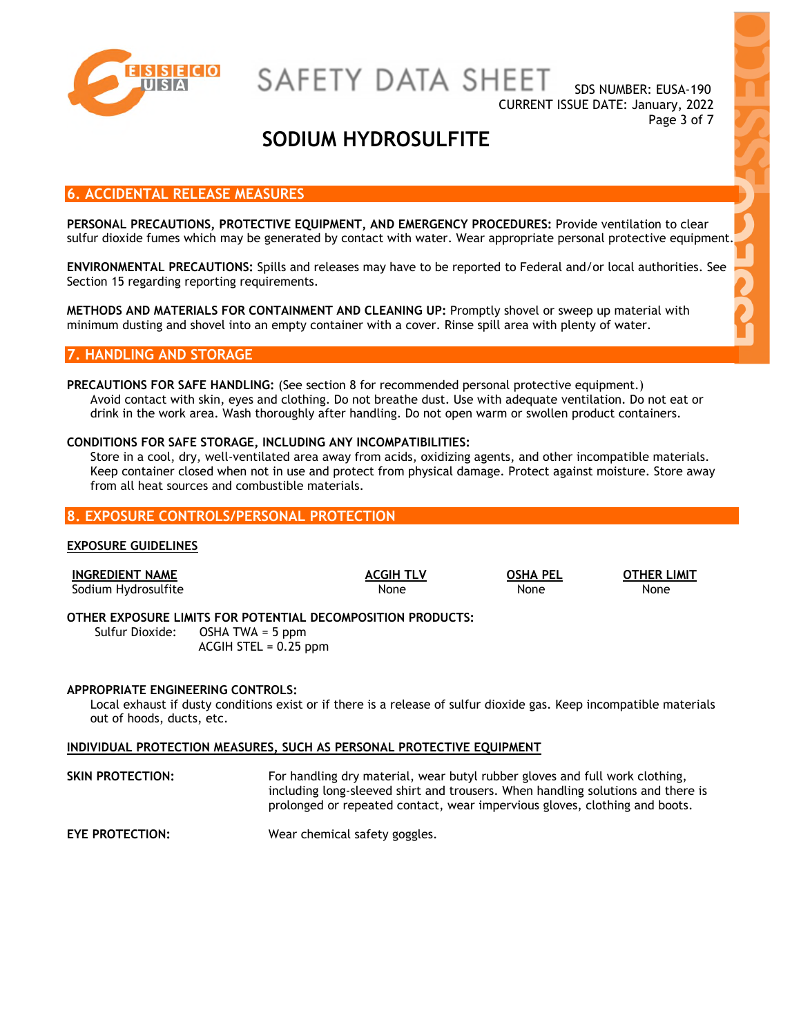

SDS NUMBER: EUSA-190 CURRENT ISSUE DATE: January, 2022 Page 3 of 7

## **SODIUM HYDROSULFITE**

#### **6. ACCIDENTAL RELEASE MEASURES**

**PERSONAL PRECAUTIONS, PROTECTIVE EQUIPMENT, AND EMERGENCY PROCEDURES:** Provide ventilation to clear sulfur dioxide fumes which may be generated by contact with water. Wear appropriate personal protective equipment.

**ENVIRONMENTAL PRECAUTIONS:** Spills and releases may have to be reported to Federal and/or local authorities. See Section 15 regarding reporting requirements.

**METHODS AND MATERIALS FOR CONTAINMENT AND CLEANING UP:** Promptly shovel or sweep up material with minimum dusting and shovel into an empty container with a cover. Rinse spill area with plenty of water.

#### **7. HANDLING AND STORAGE**

**PRECAUTIONS FOR SAFE HANDLING:** (See section 8 for recommended personal protective equipment.) Avoid contact with skin, eyes and clothing. Do not breathe dust. Use with adequate ventilation. Do not eat or drink in the work area. Wash thoroughly after handling. Do not open warm or swollen product containers.

#### **CONDITIONS FOR SAFE STORAGE, INCLUDING ANY INCOMPATIBILITIES:**

Store in a cool, dry, well-ventilated area away from acids, oxidizing agents, and other incompatible materials. Keep container closed when not in use and protect from physical damage. Protect against moisture. Store away from all heat sources and combustible materials.

#### **8. EXPOSURE CONTROLS/PERSONAL PROTECTION**

#### **EXPOSURE GUIDELINES**

| <b>INGREDIENT NAME</b> |                                                                                                 | <b>ACGIH TLV</b> | <b>OSHA PEL</b> | <b>OTHER LIMIT</b> |
|------------------------|-------------------------------------------------------------------------------------------------|------------------|-----------------|--------------------|
| Sodium Hydrosulfite    |                                                                                                 | None             | None            | None               |
|                        | OTHER EXPOSURE LIMITS FOR POTENTIAL DECOMPOSITION PRODUCTS:<br>Sulfur Dioxide: OSHA TWA = 5 ppm |                  |                 |                    |
|                        | $ACGIH$ STEL = 0.25 ppm                                                                         |                  |                 |                    |

#### **APPROPRIATE ENGINEERING CONTROLS:**

Local exhaust if dusty conditions exist or if there is a release of sulfur dioxide gas. Keep incompatible materials out of hoods, ducts, etc.

#### **INDIVIDUAL PROTECTION MEASURES, SUCH AS PERSONAL PROTECTIVE EQUIPMENT**

**SKIN PROTECTION:** For handling dry material, wear butyl rubber gloves and full work clothing, including long-sleeved shirt and trousers. When handling solutions and there is prolonged or repeated contact, wear impervious gloves, clothing and boots.

**EYE PROTECTION:** Wear chemical safety goggles.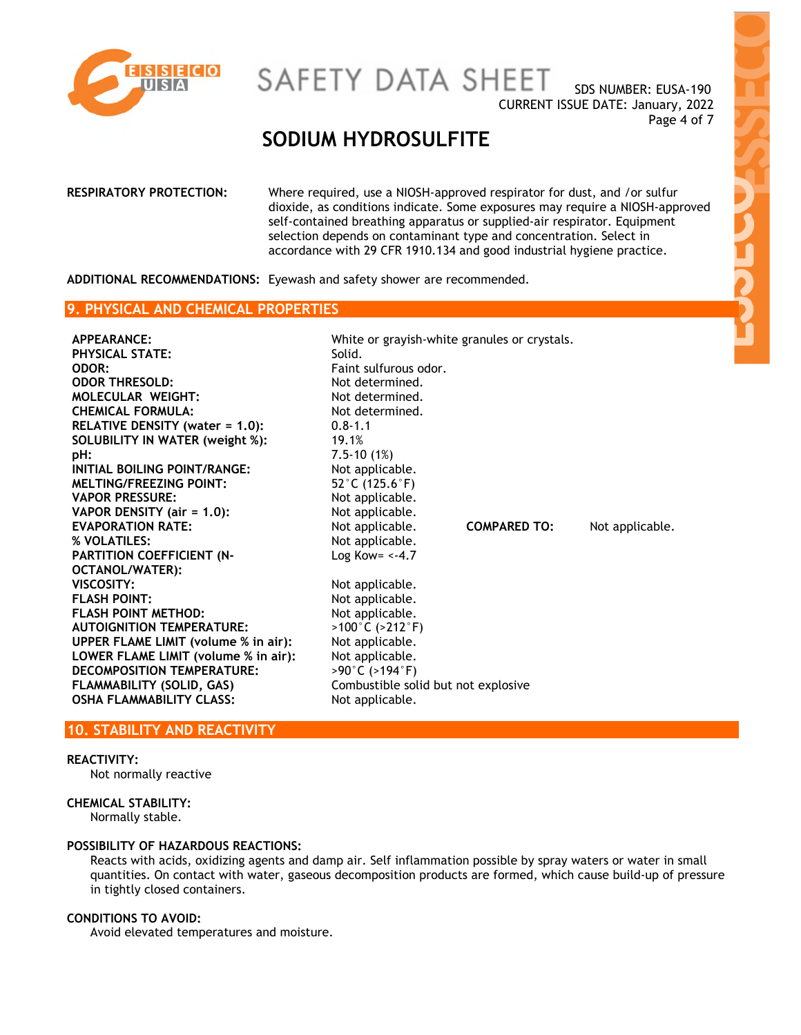

SDS NUMBER: EUSA-190 CURRENT ISSUE DATE: January, 2022 Page 4 of 7

## **SODIUM HYDROSULFITE**

| selection depends on contaminant type and concentration. Select in<br>accordance with 29 CFR 1910.134 and good industrial hygiene practice. | RESPIRATORY PROTECTION: | Where required, use a NIOSH-approved respirator for dust, and /or sulfur<br>dioxide, as conditions indicate. Some exposures may require a NIOSH-approved<br>self-contained breathing apparatus or supplied-air respirator. Equipment |
|---------------------------------------------------------------------------------------------------------------------------------------------|-------------------------|--------------------------------------------------------------------------------------------------------------------------------------------------------------------------------------------------------------------------------------|
|---------------------------------------------------------------------------------------------------------------------------------------------|-------------------------|--------------------------------------------------------------------------------------------------------------------------------------------------------------------------------------------------------------------------------------|

**ADDITIONAL RECOMMENDATIONS:** Eyewash and safety shower are recommended.

#### **9. PHYSICAL AND CHEMICAL PROPERTIES**

| APPEARANCE:<br><b>PHYSICAL STATE:</b><br>ODOR:<br><b>ODOR THRESOLD:</b><br><b>MOLECULAR WEIGHT:</b><br><b>CHEMICAL FORMULA:</b><br>RELATIVE DENSITY (water = 1.0):<br>SOLUBILITY IN WATER (weight %):<br>pH:<br>INITIAL BOILING POINT/RANGE:<br><b>MELTING/FREEZING POINT:</b><br><b>VAPOR PRESSURE:</b><br>VAPOR DENSITY (air = 1.0):<br><b>EVAPORATION RATE:</b><br>% VOLATILES:<br><b>PARTITION COEFFICIENT (N-</b><br>OCTANOL/WATER):<br>VISCOSITY:<br><b>FLASH POINT:</b><br><b>FLASH POINT METHOD:</b><br><b>AUTOIGNITION TEMPERATURE:</b><br><b>UPPER FLAME LIMIT (volume % in air):</b><br>LOWER FLAME LIMIT (volume % in air):<br><b>DECOMPOSITION TEMPERATURE:</b><br>FLAMMABILITY (SOLID, GAS)<br><b>OSHA FLAMMABILITY CLASS:</b> | White or grayish-white granules or crystals.<br>Solid.<br>Faint sulfurous odor.<br>Not determined.<br>Not determined.<br>Not determined.<br>$0.8 - 1.1$<br>19.1%<br>$7.5 - 10(1%)$<br>Not applicable.<br>52 $°C$ (125.6 $°F$ )<br>Not applicable.<br>Not applicable.<br>Not applicable.<br>Not applicable.<br>Log Kow= $\leftarrow$ 4.7<br>Not applicable.<br>Not applicable.<br>Not applicable.<br>$>100^{\circ}$ C ( $>212^{\circ}$ F)<br>Not applicable.<br>Not applicable.<br>$>90^{\circ}$ C ( $>194^{\circ}$ F)<br>Combustible solid but not explosive | <b>COMPARED TO:</b> | Not applicable. |
|----------------------------------------------------------------------------------------------------------------------------------------------------------------------------------------------------------------------------------------------------------------------------------------------------------------------------------------------------------------------------------------------------------------------------------------------------------------------------------------------------------------------------------------------------------------------------------------------------------------------------------------------------------------------------------------------------------------------------------------------|--------------------------------------------------------------------------------------------------------------------------------------------------------------------------------------------------------------------------------------------------------------------------------------------------------------------------------------------------------------------------------------------------------------------------------------------------------------------------------------------------------------------------------------------------------------|---------------------|-----------------|
|                                                                                                                                                                                                                                                                                                                                                                                                                                                                                                                                                                                                                                                                                                                                              | Not applicable.                                                                                                                                                                                                                                                                                                                                                                                                                                                                                                                                              |                     |                 |

### **10. STABILITY AND REACTIVITY**

#### **REACTIVITY:**

Not normally reactive

#### **CHEMICAL STABILITY:**

Normally stable.

#### **POSSIBILITY OF HAZARDOUS REACTIONS:**

Reacts with acids, oxidizing agents and damp air. Self inflammation possible by spray waters or water in small quantities. On contact with water, gaseous decomposition products are formed, which cause build-up of pressure in tightly closed containers.

#### **CONDITIONS TO AVOID:**

Avoid elevated temperatures and moisture.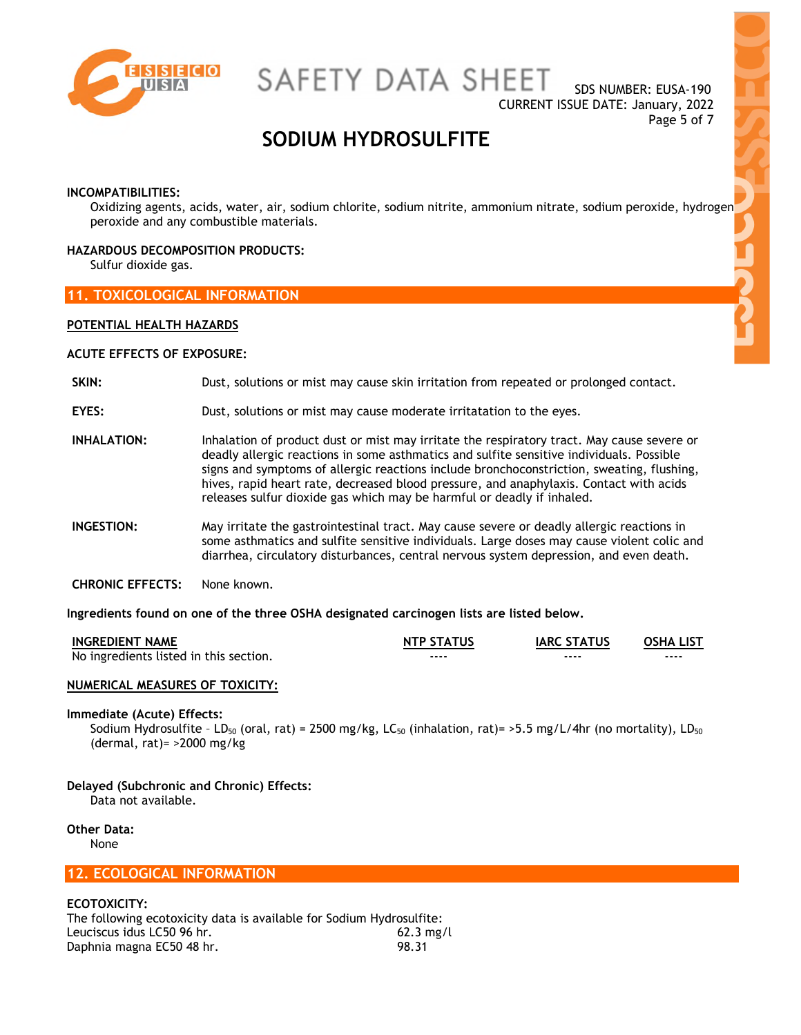

SDS NUMBER: EUSA-190 CURRENT ISSUE DATE: January, 2022 Page 5 of 7

## **SODIUM HYDROSULFITE**

#### **INCOMPATIBILITIES:**

Oxidizing agents, acids, water, air, sodium chlorite, sodium nitrite, ammonium nitrate, sodium peroxide, hydrogen peroxide and any combustible materials.

#### **HAZARDOUS DECOMPOSITION PRODUCTS:**

Sulfur dioxide gas.

#### **11. TOXICOLOGICAL INFORMATION**

#### **POTENTIAL HEALTH HAZARDS**

#### **ACUTE EFFECTS OF EXPOSURE:**

#### **SKIN:** Dust, solutions or mist may cause skin irritation from repeated or prolonged contact.

- **EYES:** Dust, solutions or mist may cause moderate irritatation to the eyes.
- **INHALATION:** Inhalation of product dust or mist may irritate the respiratory tract. May cause severe or deadly allergic reactions in some asthmatics and sulfite sensitive individuals. Possible signs and symptoms of allergic reactions include bronchoconstriction, sweating, flushing, hives, rapid heart rate, decreased blood pressure, and anaphylaxis. Contact with acids releases sulfur dioxide gas which may be harmful or deadly if inhaled.
- **INGESTION:** May irritate the gastrointestinal tract. May cause severe or deadly allergic reactions in some asthmatics and sulfite sensitive individuals. Large doses may cause violent colic and diarrhea, circulatory disturbances, central nervous system depression, and even death.
- **CHRONIC EFFECTS:** None known.

#### **Ingredients found on one of the three OSHA designated carcinogen lists are listed below.**

| <b>INGREDIENT NAME</b>                 | <b>NTP STATUS</b> | <b>IARC STATUS</b> | <b>OSHA LIST</b> |
|----------------------------------------|-------------------|--------------------|------------------|
| No ingredients listed in this section. | ----              | ----               | ----             |

#### **NUMERICAL MEASURES OF TOXICITY:**

#### **Immediate (Acute) Effects:**

Sodium Hydrosulfite - LD<sub>50</sub> (oral, rat) = 2500 mg/kg, LC<sub>50</sub> (inhalation, rat) = >5.5 mg/L/4hr (no mortality), LD<sub>50</sub> (dermal, rat)= >2000 mg/kg

#### **Delayed (Subchronic and Chronic) Effects:**  Data not available.

**Other Data:**  None

#### **12. ECOLOGICAL INFORMATION**

#### **ECOTOXICITY:**

The following ecotoxicity data is available for Sodium Hydrosulfite: Leuciscus idus LC50 96 hr. Daphnia magna EC50 48 hr. 62.3 mg/l 98.31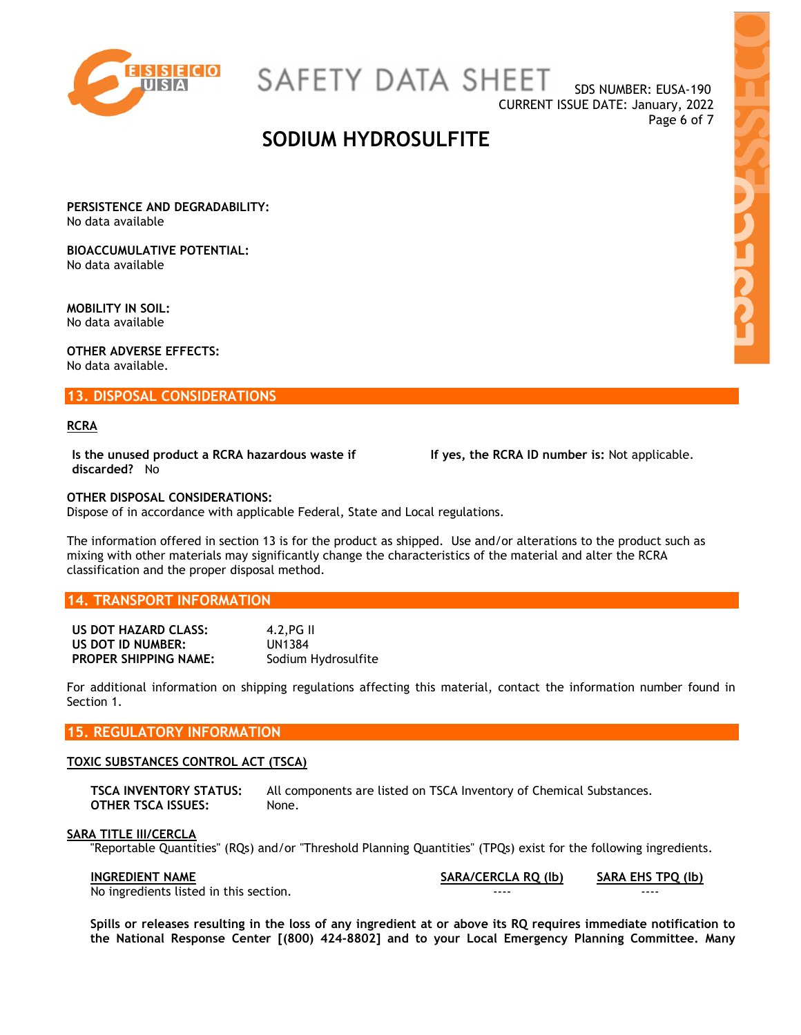

SAFETY DATA SHEET

SDS NUMBER: EUSA-190 CURRENT ISSUE DATE: January, 2022 Page 6 of 7

### **SODIUM HYDROSULFITE**

**PERSISTENCE AND DEGRADABILITY:**  No data available

**BIOACCUMULATIVE POTENTIAL:**  No data available

**MOBILITY IN SOIL:**  No data available

**OTHER ADVERSE EFFECTS:**  No data available.

**13. DISPOSAL CONSIDERATIONS** 

#### **RCRA**

**Is the unused product a RCRA hazardous waste if discarded?** No

 **If yes, the RCRA ID number is:** Not applicable.

#### **OTHER DISPOSAL CONSIDERATIONS:**

Dispose of in accordance with applicable Federal, State and Local regulations.

The information offered in section 13 is for the product as shipped. Use and/or alterations to the product such as mixing with other materials may significantly change the characteristics of the material and alter the RCRA classification and the proper disposal method.

#### **14. TRANSPORT INFORMATION**

| US DOT HAZARD CLASS:         | $4.2.FG \parallel$  |
|------------------------------|---------------------|
| US DOT ID NUMBER:            | UN1384              |
| <b>PROPER SHIPPING NAME:</b> | Sodium Hydrosulfite |

For additional information on shipping regulations affecting this material, contact the information number found in Section 1.

### **15. REGULATORY INFORMATION**

#### **TOXIC SUBSTANCES CONTROL ACT (TSCA)**

**TSCA INVENTORY STATUS:** All components are listed on TSCA Inventory of Chemical Substances. **OTHER TSCA ISSUES:** None.

#### **SARA TITLE III/CERCLA**

"Reportable Quantities" (RQs) and/or "Threshold Planning Quantities" (TPQs) exist for the following ingredients.

| <b>INGREDIENT NAME</b>                 | SARA/CERCLA RQ (lb) | <b>SARA EHS TPO (lb)</b> |
|----------------------------------------|---------------------|--------------------------|
| No ingredients listed in this section. | ----                | ----                     |

**Spills or releases resulting in the loss of any ingredient at or above its RQ requires immediate notification to the National Response Center [(800) 424-8802] and to your Local Emergency Planning Committee. Many**